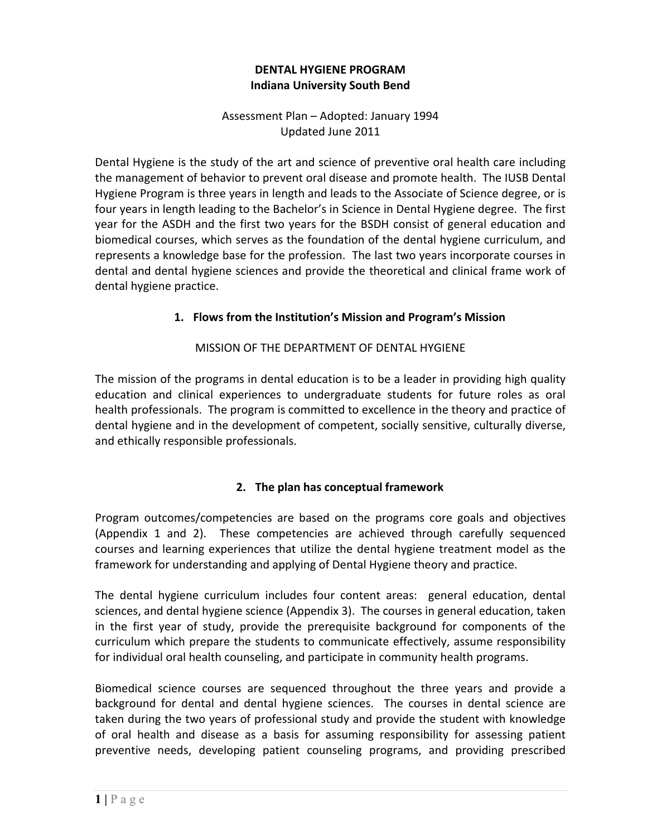## **DENTAL HYGIENE PROGRAM Indiana University South Bend**

 Assessment Plan – Adopted: January 1994 Updated June 2011

 Dental Hygiene is the study of the art and science of preventive oral health care including the management of behavior to prevent oral disease and promote health. The IUSB Dental Hygiene Program is three years in length and leads to the Associate of Science degree, or is four years in length leading to the Bachelor's in Science in Dental Hygiene degree. The first year for the ASDH and the first two years for the BSDH consist of general education and biomedical courses, which serves as the foundation of the dental hygiene curriculum, and represents a knowledge base for the profession. The last two years incorporate courses in dental and dental hygiene sciences and provide the theoretical and clinical frame work of dental hygiene practice.

### **1. Flows from the Institution's Mission and Program's Mission**

## MISSION OF THE DEPARTMENT OF DENTAL HYGIENE

 The mission of the programs in dental education is to be a leader in providing high quality education and clinical experiences to undergraduate students for future roles as oral health professionals. The program is committed to excellence in the theory and practice of dental hygiene and in the development of competent, socially sensitive, culturally diverse, and ethically responsible professionals.

## **2. The plan has conceptual framework**

 Program outcomes/competencies are based on the programs core goals and objectives (Appendix 1 and 2). These competencies are achieved through carefully sequenced courses and learning experiences that utilize the dental hygiene treatment model as the framework for understanding and applying of Dental Hygiene theory and practice.

 The dental hygiene curriculum includes four content areas: general education, dental sciences, and dental hygiene science (Appendix 3). The courses in general education, taken in the first year of study, provide the prerequisite background for components of the curriculum which prepare the students to communicate effectively, assume responsibility for individual oral health counseling, and participate in community health programs.

 Biomedical science courses are sequenced throughout the three years and provide a background for dental and dental hygiene sciences. The courses in dental science are taken during the two years of professional study and provide the student with knowledge of oral health and disease as a basis for assuming responsibility for assessing patient preventive needs, developing patient counseling programs, and providing prescribed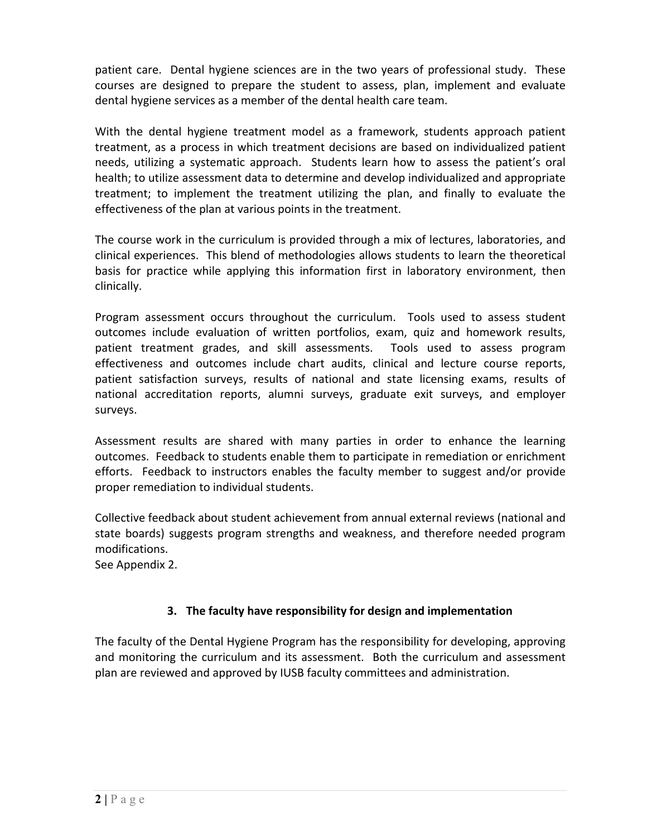patient care. Dental hygiene sciences are in the two years of professional study. These courses are designed to prepare the student to assess, plan, implement and evaluate dental hygiene services as a member of the dental health care team.

 With the dental hygiene treatment model as a framework, students approach patient treatment, as a process in which treatment decisions are based on individualized patient needs, utilizing a systematic approach. Students learn how to assess the patient's oral health; to utilize assessment data to determine and develop individualized and appropriate treatment; to implement the treatment utilizing the plan, and finally to evaluate the effectiveness of the plan at various points in the treatment.

 The course work in the curriculum is provided through a mix of lectures, laboratories, and clinical experiences. This blend of methodologies allows students to learn the theoretical basis for practice while applying this information first in laboratory environment, then clinically.

 Program assessment occurs throughout the curriculum. Tools used to assess student outcomes include evaluation of written portfolios, exam, quiz and homework results, patient treatment grades, and skill assessments. Tools used to assess program effectiveness and outcomes include chart audits, clinical and lecture course reports, patient satisfaction surveys, results of national and state licensing exams, results of national accreditation reports, alumni surveys, graduate exit surveys, and employer surveys.

 Assessment results are shared with many parties in order to enhance the learning outcomes. Feedback to students enable them to participate in remediation or enrichment efforts. Feedback to instructors enables the faculty member to suggest and/or provide proper remediation to individual students.

 Collective feedback about student achievement from annual external reviews (national and state boards) suggests program strengths and weakness, and therefore needed program modifications.

See Appendix 2.

## **3. The faculty have responsibility for design and implementation**

 The faculty of the Dental Hygiene Program has the responsibility for developing, approving and monitoring the curriculum and its assessment. Both the curriculum and assessment plan are reviewed and approved by IUSB faculty committees and administration.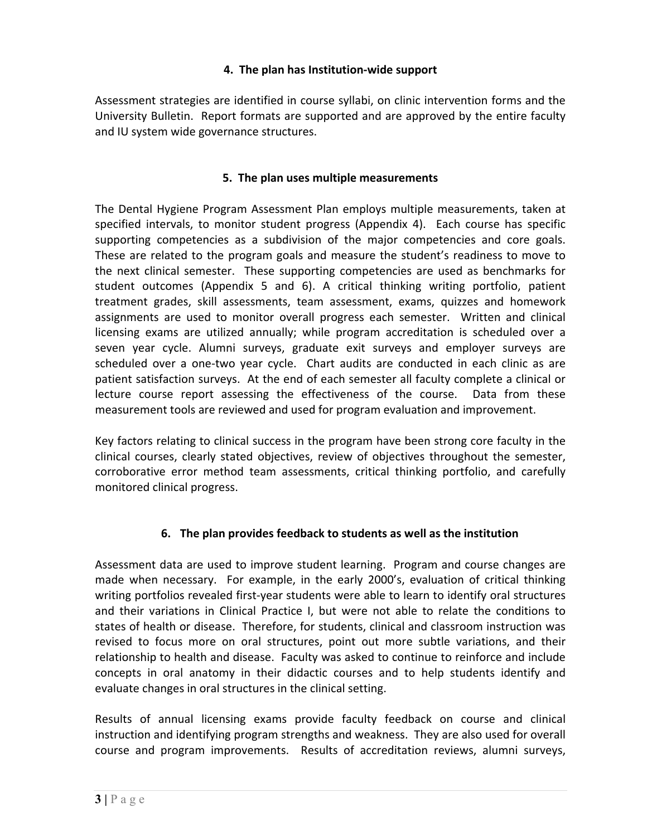## **4. The plan has Institution‐wide support**

 Assessment strategies are identified in course syllabi, on clinic intervention forms and the University Bulletin. Report formats are supported and are approved by the entire faculty and IU system wide governance structures.

## **5. The plan uses multiple measurements**

 The Dental Hygiene Program Assessment Plan employs multiple measurements, taken at specified intervals, to monitor student progress (Appendix 4). Each course has specific supporting competencies as a subdivision of the major competencies and core goals. These are related to the program goals and measure the student's readiness to move to the next clinical semester. These supporting competencies are used as benchmarks for student outcomes (Appendix 5 and 6). A critical thinking writing portfolio, patient treatment grades, skill assessments, team assessment, exams, quizzes and homework assignments are used to monitor overall progress each semester. Written and clinical licensing exams are utilized annually; while program accreditation is scheduled over a seven year cycle. Alumni surveys, graduate exit surveys and employer surveys are scheduled over a one‐two year cycle. Chart audits are conducted in each clinic as are patient satisfaction surveys. At the end of each semester all faculty complete a clinical or lecture course report assessing the effectiveness of the course. Data from these measurement tools are reviewed and used for program evaluation and improvement.

 Key factors relating to clinical success in the program have been strong core faculty in the clinical courses, clearly stated objectives, review of objectives throughout the semester, corroborative error method team assessments, critical thinking portfolio, and carefully monitored clinical progress.

### **6. The plan provides feedback to students as well as the institution**

 Assessment data are used to improve student learning. Program and course changes are made when necessary. For example, in the early 2000's, evaluation of critical thinking writing portfolios revealed first‐year students were able to learn to identify oral structures and their variations in Clinical Practice I, but were not able to relate the conditions to states of health or disease. Therefore, for students, clinical and classroom instruction was revised to focus more on oral structures, point out more subtle variations, and their relationship to health and disease. Faculty was asked to continue to reinforce and include concepts in oral anatomy in their didactic courses and to help students identify and evaluate changes in oral structures in the clinical setting.

 Results of annual licensing exams provide faculty feedback on course and clinical instruction and identifying program strengths and weakness. They are also used for overall course and program improvements. Results of accreditation reviews, alumni surveys,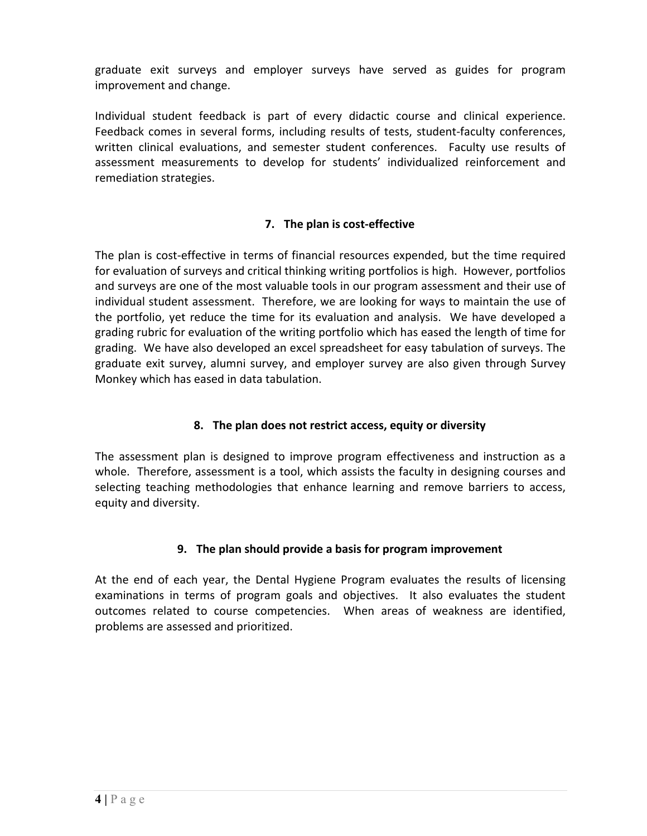graduate exit surveys and employer surveys have served as guides for program improvement and change.

 Individual student feedback is part of every didactic course and clinical experience. Feedback comes in several forms, including results of tests, student‐faculty conferences, written clinical evaluations, and semester student conferences. Faculty use results of assessment measurements to develop for students' individualized reinforcement and remediation strategies.

## **7. The plan is cost‐effective**

 The plan is cost‐effective in terms of financial resources expended, but the time required for evaluation of surveys and critical thinking writing portfolios is high. However, portfolios and surveys are one of the most valuable tools in our program assessment and their use of individual student assessment. Therefore, we are looking for ways to maintain the use of the portfolio, yet reduce the time for its evaluation and analysis. We have developed a grading rubric for evaluation of the writing portfolio which has eased the length of time for grading. We have also developed an excel spreadsheet for easy tabulation of surveys. The graduate exit survey, alumni survey, and employer survey are also given through Survey Monkey which has eased in data tabulation.

## **8. The plan does not restrict access, equity or diversity**

 The assessment plan is designed to improve program effectiveness and instruction as a whole. Therefore, assessment is a tool, which assists the faculty in designing courses and selecting teaching methodologies that enhance learning and remove barriers to access, equity and diversity.

### **9. The plan should provide a basis for program improvement**

 At the end of each year, the Dental Hygiene Program evaluates the results of licensing examinations in terms of program goals and objectives. It also evaluates the student outcomes related to course competencies. When areas of weakness are identified, problems are assessed and prioritized.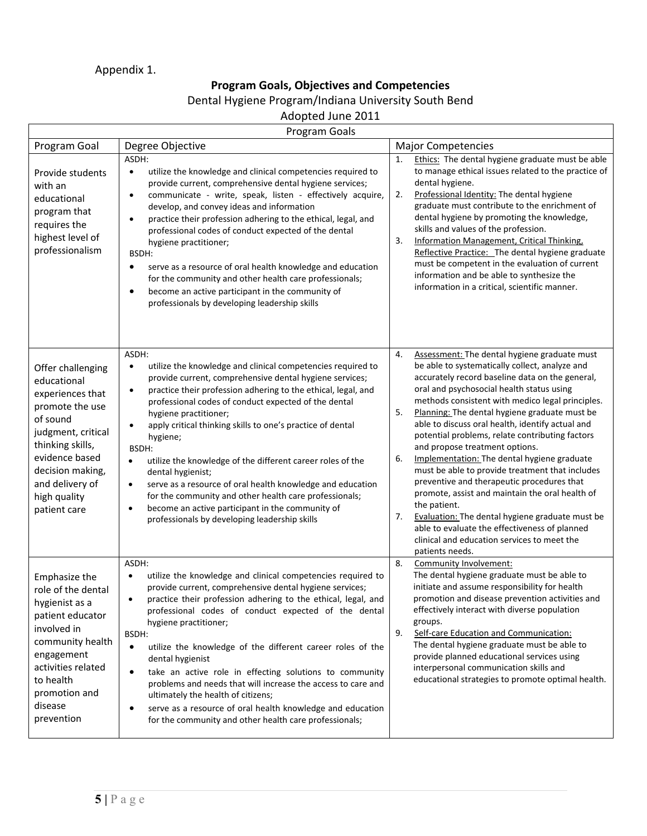# Appendix 1.

### **Program Goals, Objectives and Competencies**

#### Dental Hygiene Program/Indiana University South Bend

## Adopted June 2011

|                                                                                                                                                                                                                        | Program Goals                                                                                                                                                                                                                                                                                                                                                                                                                                                                                                                                                                                                                                                                                                                                                      |                                                                                                                                                                                                                                                                                                                                                                                                                                                                                                                                                                                                                                                                                                                                                                                                                                                               |
|------------------------------------------------------------------------------------------------------------------------------------------------------------------------------------------------------------------------|--------------------------------------------------------------------------------------------------------------------------------------------------------------------------------------------------------------------------------------------------------------------------------------------------------------------------------------------------------------------------------------------------------------------------------------------------------------------------------------------------------------------------------------------------------------------------------------------------------------------------------------------------------------------------------------------------------------------------------------------------------------------|---------------------------------------------------------------------------------------------------------------------------------------------------------------------------------------------------------------------------------------------------------------------------------------------------------------------------------------------------------------------------------------------------------------------------------------------------------------------------------------------------------------------------------------------------------------------------------------------------------------------------------------------------------------------------------------------------------------------------------------------------------------------------------------------------------------------------------------------------------------|
| Program Goal                                                                                                                                                                                                           | Degree Objective                                                                                                                                                                                                                                                                                                                                                                                                                                                                                                                                                                                                                                                                                                                                                   | <b>Major Competencies</b>                                                                                                                                                                                                                                                                                                                                                                                                                                                                                                                                                                                                                                                                                                                                                                                                                                     |
| Provide students<br>with an<br>educational<br>program that<br>requires the<br>highest level of<br>professionalism                                                                                                      | ASDH:<br>utilize the knowledge and clinical competencies required to<br>$\bullet$<br>provide current, comprehensive dental hygiene services;<br>communicate - write, speak, listen - effectively acquire,<br>$\bullet$<br>develop, and convey ideas and information<br>practice their profession adhering to the ethical, legal, and<br>$\bullet$<br>professional codes of conduct expected of the dental<br>hygiene practitioner;<br>BSDH:<br>serve as a resource of oral health knowledge and education<br>$\bullet$<br>for the community and other health care professionals;<br>become an active participant in the community of<br>$\bullet$<br>professionals by developing leadership skills                                                                 | Ethics: The dental hygiene graduate must be able<br>1.<br>to manage ethical issues related to the practice of<br>dental hygiene.<br>2.<br>Professional Identity: The dental hygiene<br>graduate must contribute to the enrichment of<br>dental hygiene by promoting the knowledge,<br>skills and values of the profession.<br>3.<br>Information Management, Critical Thinking,<br>Reflective Practice: The dental hygiene graduate<br>must be competent in the evaluation of current<br>information and be able to synthesize the<br>information in a critical, scientific manner.                                                                                                                                                                                                                                                                            |
| Offer challenging<br>educational<br>experiences that<br>promote the use<br>of sound<br>judgment, critical<br>thinking skills,<br>evidence based<br>decision making,<br>and delivery of<br>high quality<br>patient care | ASDH:<br>utilize the knowledge and clinical competencies required to<br>$\bullet$<br>provide current, comprehensive dental hygiene services;<br>practice their profession adhering to the ethical, legal, and<br>$\bullet$<br>professional codes of conduct expected of the dental<br>hygiene practitioner;<br>apply critical thinking skills to one's practice of dental<br>$\bullet$<br>hygiene;<br>BSDH:<br>utilize the knowledge of the different career roles of the<br>$\bullet$<br>dental hygienist;<br>serve as a resource of oral health knowledge and education<br>$\bullet$<br>for the community and other health care professionals;<br>become an active participant in the community of<br>$\bullet$<br>professionals by developing leadership skills | 4.<br>Assessment: The dental hygiene graduate must<br>be able to systematically collect, analyze and<br>accurately record baseline data on the general,<br>oral and psychosocial health status using<br>methods consistent with medico legal principles.<br>5.<br>Planning: The dental hygiene graduate must be<br>able to discuss oral health, identify actual and<br>potential problems, relate contributing factors<br>and propose treatment options.<br>6.<br>Implementation: The dental hygiene graduate<br>must be able to provide treatment that includes<br>preventive and therapeutic procedures that<br>promote, assist and maintain the oral health of<br>the patient.<br>Evaluation: The dental hygiene graduate must be<br>7.<br>able to evaluate the effectiveness of planned<br>clinical and education services to meet the<br>patients needs. |
| Emphasize the<br>role of the dental<br>hygienist as a<br>patient educator<br>involved in<br>community health<br>engagement<br>activities related<br>to health<br>promotion and<br>disease<br>prevention                | ASDH:<br>utilize the knowledge and clinical competencies required to<br>$\bullet$<br>provide current, comprehensive dental hygiene services;<br>practice their profession adhering to the ethical, legal, and<br>professional codes of conduct expected of the dental<br>hygiene practitioner;<br>BSDH:<br>utilize the knowledge of the different career roles of the<br>$\bullet$<br>dental hygienist<br>take an active role in effecting solutions to community<br>$\bullet$<br>problems and needs that will increase the access to care and<br>ultimately the health of citizens;<br>serve as a resource of oral health knowledge and education<br>٠<br>for the community and other health care professionals;                                                  | 8.<br>Community Involvement:<br>The dental hygiene graduate must be able to<br>initiate and assume responsibility for health<br>promotion and disease prevention activities and<br>effectively interact with diverse population<br>groups.<br>Self-care Education and Communication:<br>9.<br>The dental hygiene graduate must be able to<br>provide planned educational services using<br>interpersonal communication skills and<br>educational strategies to promote optimal health.                                                                                                                                                                                                                                                                                                                                                                        |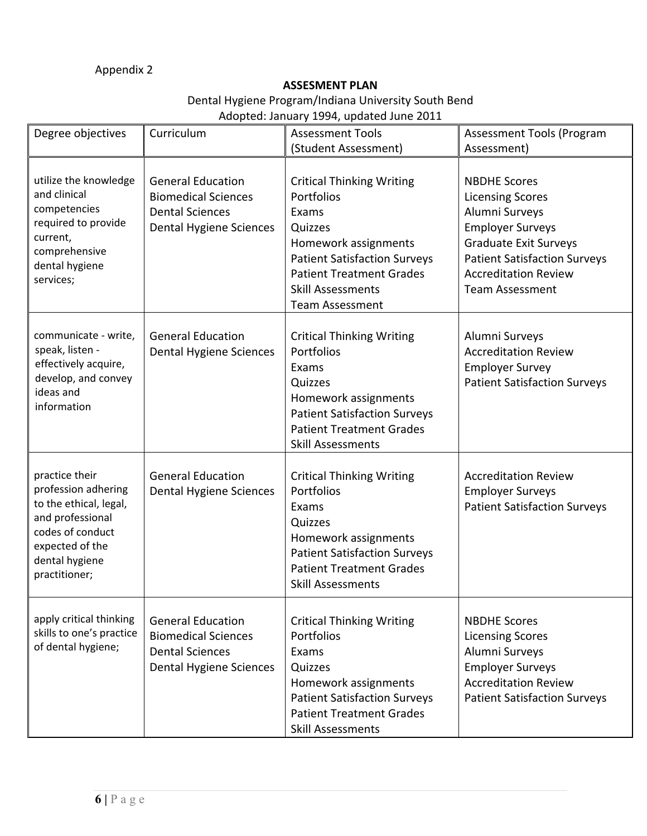### Appendix 2

### **ASSESMENT PLAN**

## Dental Hygiene Program/Indiana University South Bend

Adopted: January 1994, updated June 2011

| Degree objectives                                                                                                                                             | Curriculum                                                                                                  | <b>Assessment Tools</b>                                                                                                                                                                                                    | <b>Assessment Tools (Program</b>                                                                                                                                                                                            |  |  |  |  |  |  |  |
|---------------------------------------------------------------------------------------------------------------------------------------------------------------|-------------------------------------------------------------------------------------------------------------|----------------------------------------------------------------------------------------------------------------------------------------------------------------------------------------------------------------------------|-----------------------------------------------------------------------------------------------------------------------------------------------------------------------------------------------------------------------------|--|--|--|--|--|--|--|
|                                                                                                                                                               |                                                                                                             | (Student Assessment)                                                                                                                                                                                                       | Assessment)                                                                                                                                                                                                                 |  |  |  |  |  |  |  |
| utilize the knowledge<br>and clinical<br>competencies<br>required to provide<br>current,<br>comprehensive<br>dental hygiene<br>services;                      | <b>General Education</b><br><b>Biomedical Sciences</b><br><b>Dental Sciences</b><br>Dental Hygiene Sciences | <b>Critical Thinking Writing</b><br>Portfolios<br>Exams<br>Quizzes<br>Homework assignments<br><b>Patient Satisfaction Surveys</b><br><b>Patient Treatment Grades</b><br><b>Skill Assessments</b><br><b>Team Assessment</b> | <b>NBDHE Scores</b><br><b>Licensing Scores</b><br>Alumni Surveys<br><b>Employer Surveys</b><br><b>Graduate Exit Surveys</b><br><b>Patient Satisfaction Surveys</b><br><b>Accreditation Review</b><br><b>Team Assessment</b> |  |  |  |  |  |  |  |
| communicate - write,<br>speak, listen -<br>effectively acquire,<br>develop, and convey<br>ideas and<br>information                                            | <b>General Education</b><br>Dental Hygiene Sciences                                                         | <b>Critical Thinking Writing</b><br>Portfolios<br>Exams<br>Quizzes<br>Homework assignments<br><b>Patient Satisfaction Surveys</b><br><b>Patient Treatment Grades</b><br><b>Skill Assessments</b>                           | Alumni Surveys<br><b>Accreditation Review</b><br><b>Employer Survey</b><br><b>Patient Satisfaction Surveys</b>                                                                                                              |  |  |  |  |  |  |  |
| practice their<br>profession adhering<br>to the ethical, legal,<br>and professional<br>codes of conduct<br>expected of the<br>dental hygiene<br>practitioner; | <b>General Education</b><br>Dental Hygiene Sciences                                                         | <b>Critical Thinking Writing</b><br>Portfolios<br>Exams<br>Quizzes<br>Homework assignments<br><b>Patient Satisfaction Surveys</b><br><b>Patient Treatment Grades</b><br><b>Skill Assessments</b>                           | <b>Accreditation Review</b><br><b>Employer Surveys</b><br><b>Patient Satisfaction Surveys</b>                                                                                                                               |  |  |  |  |  |  |  |
| apply critical thinking<br>skills to one's practice<br>of dental hygiene;                                                                                     | <b>General Education</b><br><b>Biomedical Sciences</b><br><b>Dental Sciences</b><br>Dental Hygiene Sciences | <b>Critical Thinking Writing</b><br>Portfolios<br>Exams<br>Quizzes<br>Homework assignments<br><b>Patient Satisfaction Surveys</b><br><b>Patient Treatment Grades</b><br><b>Skill Assessments</b>                           | <b>NBDHE Scores</b><br><b>Licensing Scores</b><br>Alumni Surveys<br><b>Employer Surveys</b><br><b>Accreditation Review</b><br><b>Patient Satisfaction Surveys</b>                                                           |  |  |  |  |  |  |  |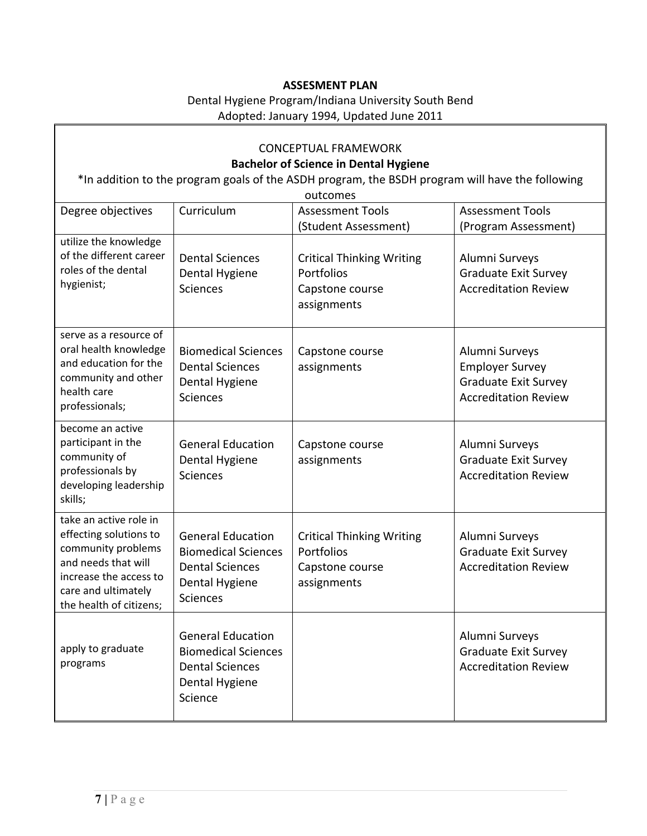#### **ASSESMENT PLAN**

## Dental Hygiene Program/Indiana University South Bend Adopted: January 1994, Updated June 2011

| <b>CONCEPTUAL FRAMEWORK</b><br><b>Bachelor of Science in Dental Hygiene</b><br>*In addition to the program goals of the ASDH program, the BSDH program will have the following<br>outcomes |                                                                                                                       |                                                                                  |                                                                                                 |  |  |  |  |  |  |  |  |
|--------------------------------------------------------------------------------------------------------------------------------------------------------------------------------------------|-----------------------------------------------------------------------------------------------------------------------|----------------------------------------------------------------------------------|-------------------------------------------------------------------------------------------------|--|--|--|--|--|--|--|--|
| Degree objectives                                                                                                                                                                          | Curriculum                                                                                                            | <b>Assessment Tools</b><br>(Student Assessment)                                  | <b>Assessment Tools</b><br>(Program Assessment)                                                 |  |  |  |  |  |  |  |  |
| utilize the knowledge<br>of the different career<br>roles of the dental<br>hygienist;                                                                                                      | <b>Dental Sciences</b><br>Dental Hygiene<br><b>Sciences</b>                                                           | <b>Critical Thinking Writing</b><br>Portfolios<br>Capstone course<br>assignments | Alumni Surveys<br>Graduate Exit Survey<br><b>Accreditation Review</b>                           |  |  |  |  |  |  |  |  |
| serve as a resource of<br>oral health knowledge<br>and education for the<br>community and other<br>health care<br>professionals;                                                           | <b>Biomedical Sciences</b><br><b>Dental Sciences</b><br>Dental Hygiene<br><b>Sciences</b>                             | Capstone course<br>assignments                                                   | Alumni Surveys<br><b>Employer Survey</b><br>Graduate Exit Survey<br><b>Accreditation Review</b> |  |  |  |  |  |  |  |  |
| become an active<br>participant in the<br>community of<br>professionals by<br>developing leadership<br>skills;                                                                             | <b>General Education</b><br>Dental Hygiene<br><b>Sciences</b>                                                         | Capstone course<br>assignments                                                   | Alumni Surveys<br>Graduate Exit Survey<br><b>Accreditation Review</b>                           |  |  |  |  |  |  |  |  |
| take an active role in<br>effecting solutions to<br>community problems<br>and needs that will<br>increase the access to<br>care and ultimately<br>the health of citizens;                  | <b>General Education</b><br><b>Biomedical Sciences</b><br><b>Dental Sciences</b><br>Dental Hygiene<br><b>Sciences</b> | <b>Critical Thinking Writing</b><br>Portfolios<br>Capstone course<br>assignments | Alumni Surveys<br>Graduate Exit Survey<br><b>Accreditation Review</b>                           |  |  |  |  |  |  |  |  |
| apply to graduate<br>programs                                                                                                                                                              | <b>General Education</b><br><b>Biomedical Sciences</b><br><b>Dental Sciences</b><br>Dental Hygiene<br>Science         |                                                                                  | Alumni Surveys<br>Graduate Exit Survey<br><b>Accreditation Review</b>                           |  |  |  |  |  |  |  |  |

 $\Gamma$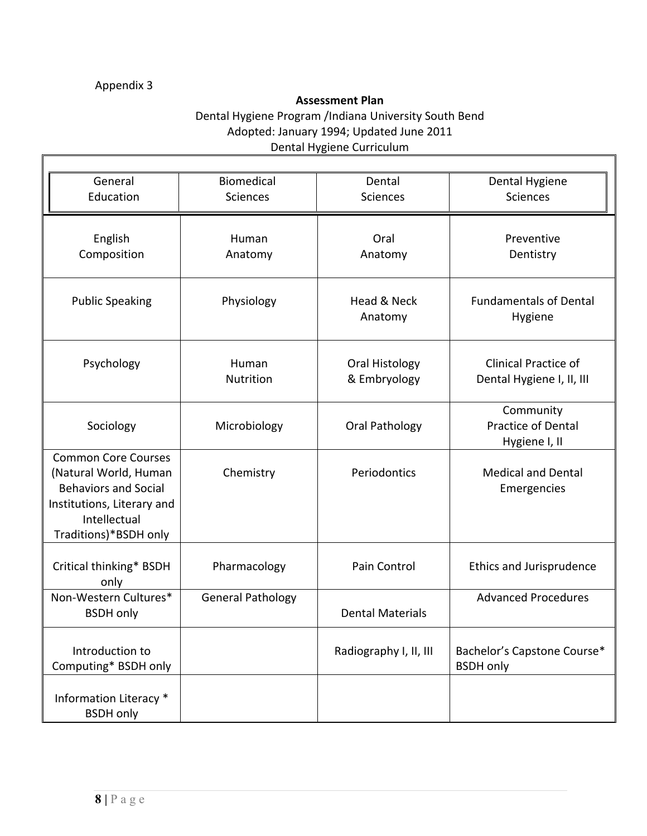### Appendix 3

Г

### **Assessment Plan**

## Dental Hygiene Program /Indiana University South Bend Adopted: January 1994; Updated June 2011 Dental Hygiene Curriculum

| General                                                                                                                                                   | <b>Biomedical</b>        | Dental                         | Dental Hygiene                                           |
|-----------------------------------------------------------------------------------------------------------------------------------------------------------|--------------------------|--------------------------------|----------------------------------------------------------|
| Education                                                                                                                                                 | <b>Sciences</b>          | <b>Sciences</b>                | Sciences                                                 |
|                                                                                                                                                           |                          |                                |                                                          |
| English<br>Composition                                                                                                                                    | Human<br>Anatomy         | Oral<br>Anatomy                | Preventive<br>Dentistry                                  |
| <b>Public Speaking</b>                                                                                                                                    | Physiology               | Head & Neck<br>Anatomy         | <b>Fundamentals of Dental</b><br>Hygiene                 |
| Psychology                                                                                                                                                | Human<br>Nutrition       | Oral Histology<br>& Embryology | <b>Clinical Practice of</b><br>Dental Hygiene I, II, III |
| Sociology                                                                                                                                                 | Microbiology             | Oral Pathology                 | Community<br><b>Practice of Dental</b><br>Hygiene I, II  |
| <b>Common Core Courses</b><br>(Natural World, Human<br><b>Behaviors and Social</b><br>Institutions, Literary and<br>Intellectual<br>Traditions)*BSDH only | Chemistry                | Periodontics                   | <b>Medical and Dental</b><br>Emergencies                 |
| Critical thinking* BSDH<br>only                                                                                                                           | Pharmacology             | Pain Control                   | <b>Ethics and Jurisprudence</b>                          |
| Non-Western Cultures*<br><b>BSDH</b> only                                                                                                                 | <b>General Pathology</b> | <b>Dental Materials</b>        | <b>Advanced Procedures</b>                               |
| Introduction to<br>Computing* BSDH only                                                                                                                   |                          | Radiography I, II, III         | Bachelor's Capstone Course*<br><b>BSDH</b> only          |
| Information Literacy *<br><b>BSDH</b> only                                                                                                                |                          |                                |                                                          |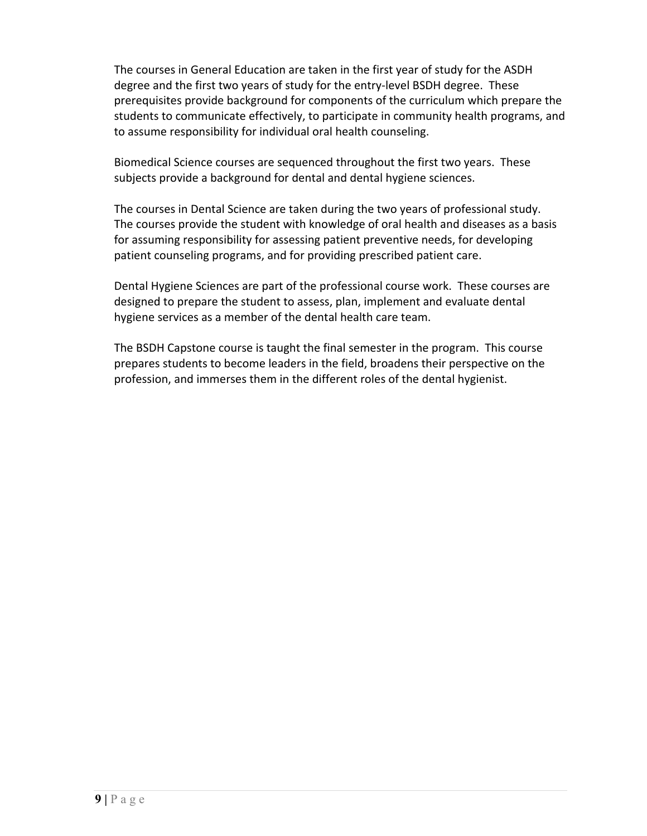The courses in General Education are taken in the first year of study for the ASDH degree and the first two years of study for the entry‐level BSDH degree. These prerequisites provide background for components of the curriculum which prepare the students to communicate effectively, to participate in community health programs, and to assume responsibility for individual oral health counseling.

 Biomedical Science courses are sequenced throughout the first two years. These subjects provide a background for dental and dental hygiene sciences.

 The courses in Dental Science are taken during the two years of professional study. The courses provide the student with knowledge of oral health and diseases as a basis for assuming responsibility for assessing patient preventive needs, for developing patient counseling programs, and for providing prescribed patient care.

 Dental Hygiene Sciences are part of the professional course work. These courses are designed to prepare the student to assess, plan, implement and evaluate dental hygiene services as a member of the dental health care team.

 The BSDH Capstone course is taught the final semester in the program. This course prepares students to become leaders in the field, broadens their perspective on the profession, and immerses them in the different roles of the dental hygienist.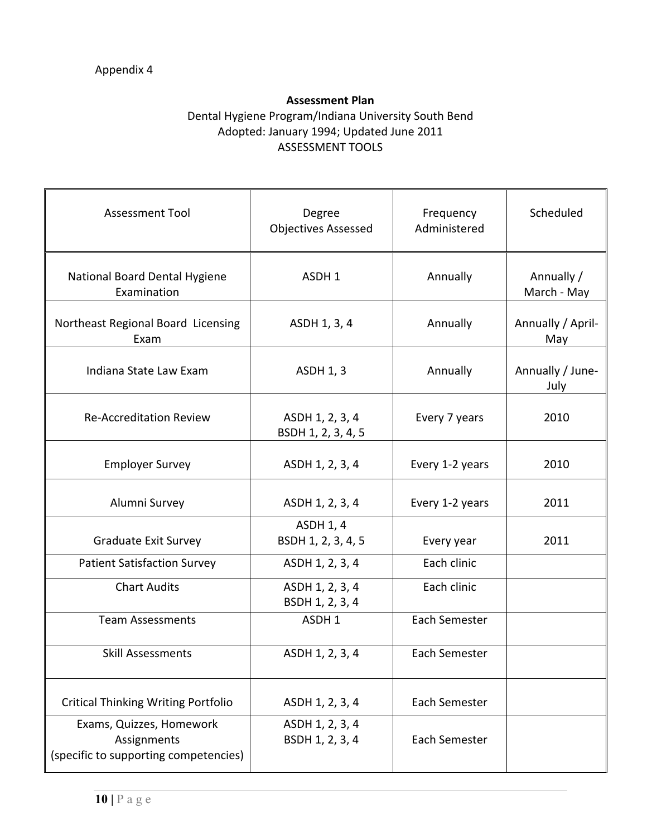### **Assessment Plan**

### Dental Hygiene Program/Indiana University South Bend Adopted: January 1994; Updated June 2011 ASSESSMENT TOOLS

| <b>Assessment Tool</b>                                                           | Degree<br><b>Objectives Assessed</b>   | Frequency<br>Administered | Scheduled                 |
|----------------------------------------------------------------------------------|----------------------------------------|---------------------------|---------------------------|
| National Board Dental Hygiene<br>Examination                                     | ASDH 1                                 | Annually                  | Annually /<br>March - May |
| Northeast Regional Board Licensing<br>Exam                                       | ASDH 1, 3, 4                           | Annually                  | Annually / April-<br>May  |
| Indiana State Law Exam                                                           | <b>ASDH 1, 3</b>                       | Annually                  | Annually / June-<br>July  |
| <b>Re-Accreditation Review</b>                                                   | ASDH 1, 2, 3, 4<br>BSDH 1, 2, 3, 4, 5  | Every 7 years             | 2010                      |
| <b>Employer Survey</b>                                                           | ASDH 1, 2, 3, 4                        | Every 1-2 years           | 2010                      |
| Alumni Survey                                                                    | ASDH 1, 2, 3, 4                        | Every 1-2 years           | 2011                      |
| Graduate Exit Survey                                                             | <b>ASDH 1, 4</b><br>BSDH 1, 2, 3, 4, 5 | Every year                | 2011                      |
| <b>Patient Satisfaction Survey</b>                                               | ASDH 1, 2, 3, 4                        | Each clinic               |                           |
| <b>Chart Audits</b>                                                              | ASDH 1, 2, 3, 4<br>BSDH 1, 2, 3, 4     | Each clinic               |                           |
| <b>Team Assessments</b>                                                          | ASDH <sub>1</sub>                      | Each Semester             |                           |
| <b>Skill Assessments</b>                                                         | ASDH 1, 2, 3, 4                        | Each Semester             |                           |
| <b>Critical Thinking Writing Portfolio</b>                                       | ASDH 1, 2, 3, 4                        | Each Semester             |                           |
| Exams, Quizzes, Homework<br>Assignments<br>(specific to supporting competencies) | ASDH 1, 2, 3, 4<br>BSDH 1, 2, 3, 4     | Each Semester             |                           |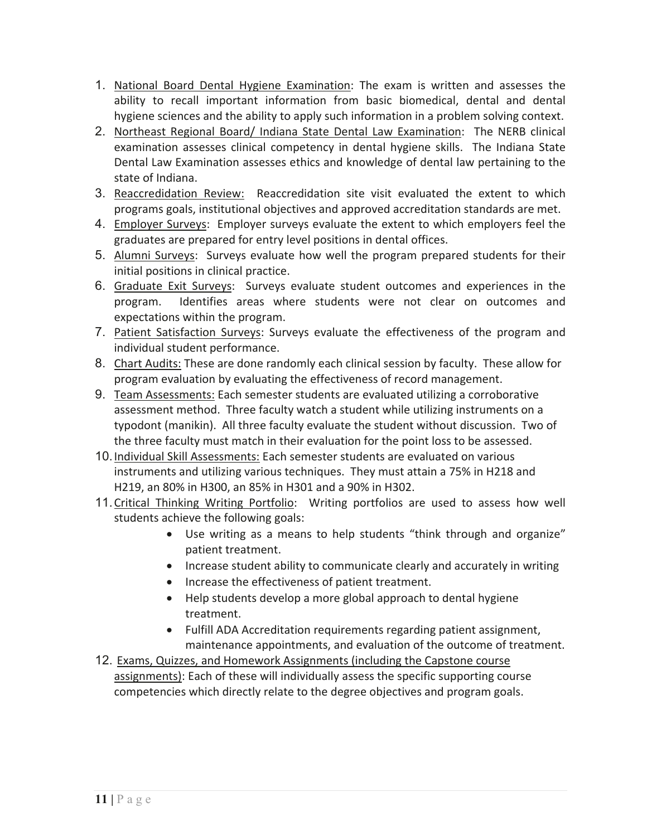- 1. National Board Dental Hygiene Examination: The exam is written and assesses the ability to recall important information from basic biomedical, dental and dental hygiene sciences and the ability to apply such information in a problem solving context.
- 2. Northeast Regional Board/ Indiana State Dental Law Examination: The NERB clinical examination assesses clinical competency in dental hygiene skills. The Indiana State Dental Law Examination assesses ethics and knowledge of dental law pertaining to the state of Indiana.
- Reaccredidation Review: Reaccredidation site visit evaluated the extent to which programs goals, institutional objectives and approved accreditation standards are met.
- Employer Surveys: Employer surveys evaluate the extent to which employers feel the graduates are prepared for entry level positions in dental offices.
- 5. Alumni Surveys: Surveys evaluate how well the program prepared students for their initial positions in clinical practice.
- Graduate Exit Surveys: Surveys evaluate student outcomes and experiences in the program. Identifies areas where students were not clear on outcomes and expectations within the program.
- Patient Satisfaction Surveys: Surveys evaluate the effectiveness of the program and individual student performance.
- Chart Audits: These are done randomly each clinical session by faculty. These allow for program evaluation by evaluating the effectiveness of record management.
- Team Assessments: Each semester students are evaluated utilizing a corroborative assessment method. Three faculty watch a student while utilizing instruments on a typodont (manikin). All three faculty evaluate the student without discussion. Two of the three faculty must match in their evaluation for the point loss to be assessed.
- 10. Individual Skill Assessments: Each semester students are evaluated on various instruments and utilizing various techniques. They must attain a 75% in H218 and H219, an 80% in H300, an 85% in H301 and a 90% in H302.
- 11. Critical Thinking Writing Portfolio: Writing portfolios are used to assess how well students achieve the following goals:
	- Use writing as a means to help students "think through and organize" patient treatment.
	- Increase student ability to communicate clearly and accurately in writing
	- Increase the effectiveness of patient treatment.
	- Help students develop a more global approach to dental hygiene treatment.
	- Fulfill ADA Accreditation requirements regarding patient assignment, maintenance appointments, and evaluation of the outcome of treatment.
- Exams, Quizzes, and Homework Assignments (including the Capstone course assignments): Each of these will individually assess the specific supporting course competencies which directly relate to the degree objectives and program goals.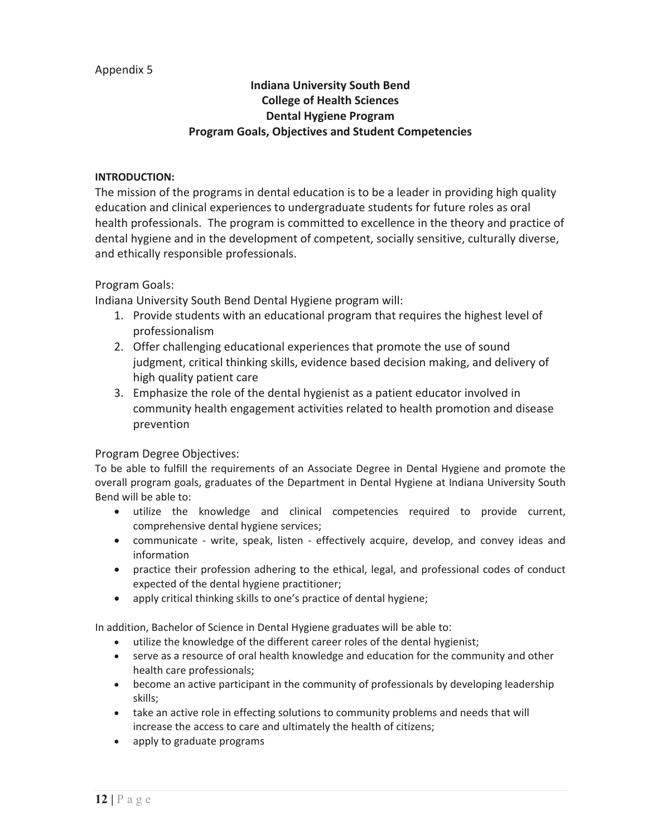### Appendix 5

## **Indiana University South Bend College of Health Sciences Dental Hygiene Program Program Goals, Objectives and Student Competencies**

#### **INTRODUCTION:**

The mission of the programs in dental education is to be a leader in providing high quality education and clinical experiences to undergraduate students for future roles as oral health professionals. The program is committed to excellence in the theory and practice of dental hygiene and in the development of competent, socially sensitive, culturally diverse, and ethically responsible professionals.

### Program Goals:

Indiana University South Bend Dental Hygiene program will:

- 1. Provide students with an educational program that requires the highest level of professionalism
- 2. Offer challenging educational experiences that promote the use of sound judgment, critical thinking skills, evidence based decision making, and delivery of high quality patient care
- 3. Emphasize the role of the dental hygienist as a patient educator involved in community health engagement activities related to health promotion and disease prevention

### Program Degree Objectives:

To be able to fulfill the requirements of an Associate Degree in Dental Hygiene and promote the overall program goals, graduates of the Department in Dental Hygiene at Indiana University South Bend will be able to:

- utilize the knowledge and clinical competencies required to provide current, comprehensive dental hygiene services;
- communicate write, speak, listen effectively acquire, develop, and convey ideas and information
- practice their profession adhering to the ethical, legal, and professional codes of conduct expected of the dental hygiene practitioner;
- $\bullet$  apply critical thinking skills to one's practice of dental hygiene;

In addition, Bachelor of Science in Dental Hygiene graduates will be able to

- utilize the knowledge of the different career roles of the dental hygienist;
- serve as a resource of oral health knowledge and education for the community and other health care professionals;
- become an active participant in the community of professionals by developing leadership skills;
- take an active role in effecting solutions to community problems and needs that will increase the access to care and ultimately the health of citizens;
- apply to graduate programs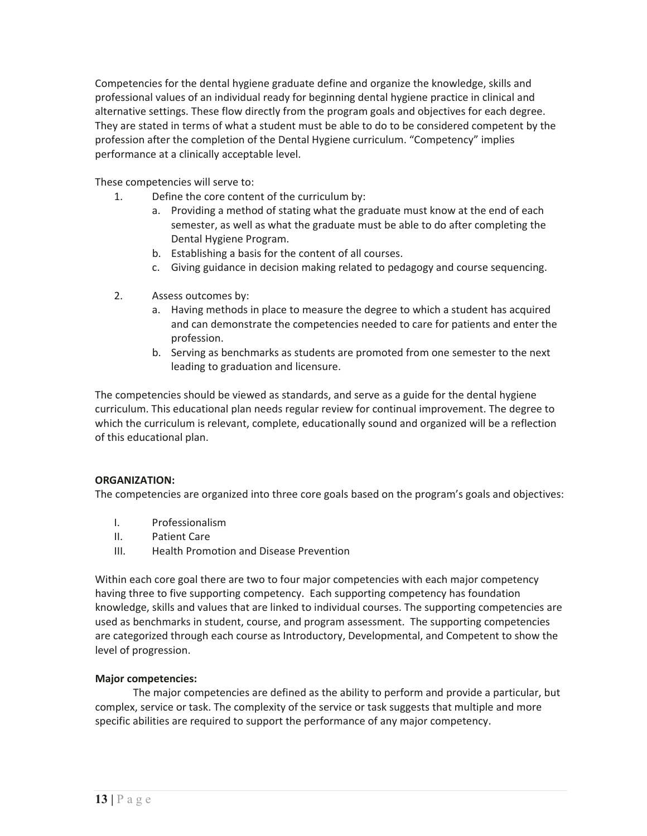Competencies for the dental hygiene graduate define and organize the knowledge, skills and professional values of an individual ready for beginning dental hygiene practice in clinical and alternative settings. These flow directly from the program goals and objectives for each degree. They are stated in terms of what a student must be able to do to be considered competent by the profession after the completion of the Dental Hygiene curriculum. "Competency" implies performance at a clinically acceptable level.

These competencies will serve to:

- 1. Define the core content of the curriculum by:
	- a. Providing a method of stating what the graduate must know at the end of each semester, as well as what the graduate must be able to do after completing the Dental Hygiene Program.
	- b. Establishing a basis for the content of all courses.
	- c. Giving guidance in decision making related to pedagogy and course sequencing.
- 2. Assess outcomes by:
	- a. Having methods in place to measure the degree to which a student has acquired and can demonstrate the competencies needed to care for patients and enter the profession.
	- b. Serving as benchmarks as students are promoted from one semester to the next leading to graduation and licensure.

The competencies should be viewed as standards, and serve as a guide for the dental hygiene curriculum. This educational plan needs regular review for continual improvement. The degree to which the curriculum is relevant, complete, educationally sound and organized will be a reflection of this educational plan.

#### **ORGANIZATION:**

The competencies are organized into three core goals based on the program's goals and objectives:

- I. Professionalism
- II. Patient Care
- III. Health Promotion and Disease Prevention

Within each core goal there are two to four major competencies with each major competency having three to five supporting competency. Each supporting competency has foundation knowledge, skills and values that are linked to individual courses. The supporting competencies are used as benchmarks in student, course, and program assessment. The supporting competencies are categorized through each course as Introductory, Developmental, and Competent to show the level of progression.

#### **Major competencies:**

The major competencies are defined as the ability to perform and provide a particular, but complex, service or task. The complexity of the service or task suggests that multiple and more specific abilities are required to support the performance of any major competency.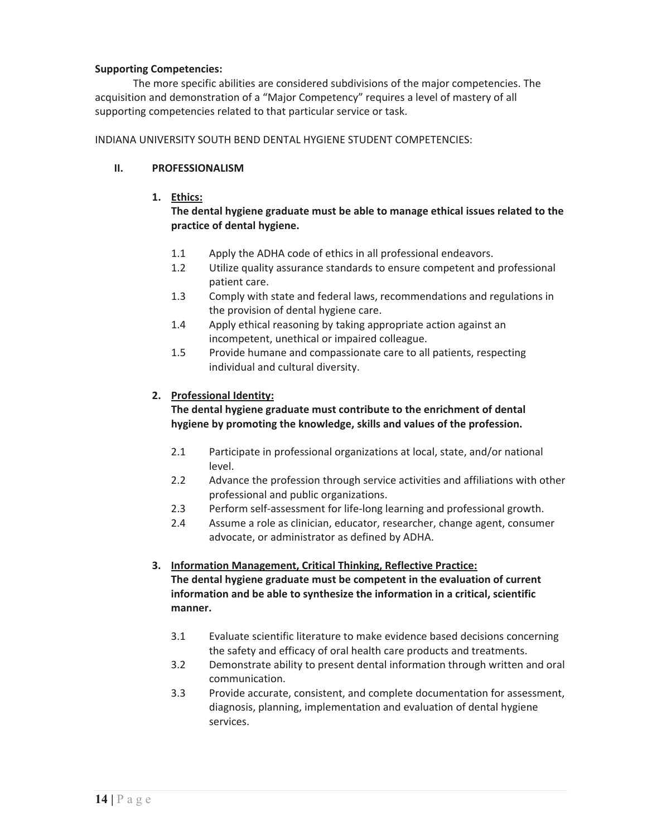#### **Supporting Competencies:**

The more specific abilities are considered subdivisions of the major competencies. The acquisition and demonstration of a "Major Competency" requires a level of mastery of all supporting competencies related to that particular service or task.

INDIANA UNIVERSITY SOUTH BEND DENTAL HYGIENE STUDENT COMPETENCIES:

#### **II. PROFESSIONALISM**

**1. Ethics:**

#### **The dental hygiene graduate must be able to manage ethical issues related to the practice of dental hygiene.**

- 1.1 Apply the ADHA code of ethics in all professional endeavors.
- 1.2 Utilize quality assurance standards to ensure competent and professional patient care.
- 1.3 Comply with state and federal laws, recommendations and regulations in the provision of dental hygiene care.
- 1.4 Apply ethical reasoning by taking appropriate action against an incompetent, unethical or impaired colleague.
- 1.5 Provide humane and compassionate care to all patients, respecting individual and cultural diversity.

#### **2. Professional Identity:**

#### **The dental hygiene graduate must contribute to the enrichment of dental hygiene by promoting the knowledge, skills and values of the profession.**

- 2.1 Participate in professional organizations at local, state, and/or national level.
- 2.2 Advance the profession through service activities and affiliations with other professional and public organizations.
- 2.3 Perform self-assessment for life-long learning and professional growth.
- 2.4 Assume a role as clinician, educator, researcher, change agent, consumer advocate, or administrator as defined by ADHA.

# **3. Information Management, Critical Thinking, Reflective Practice: The dental hygiene graduate must be competent in the evaluation of current**

**information and be able to synthesize the information in a critical, scientific manner.**

- 3.1 Evaluate scientific literature to make evidence based decisions concerning the safety and efficacy of oral health care products and treatments.
- 3.2 Demonstrate ability to present dental information through written and oral communication.
- 3.3 Provide accurate, consistent, and complete documentation for assessment, diagnosis, planning, implementation and evaluation of dental hygiene services.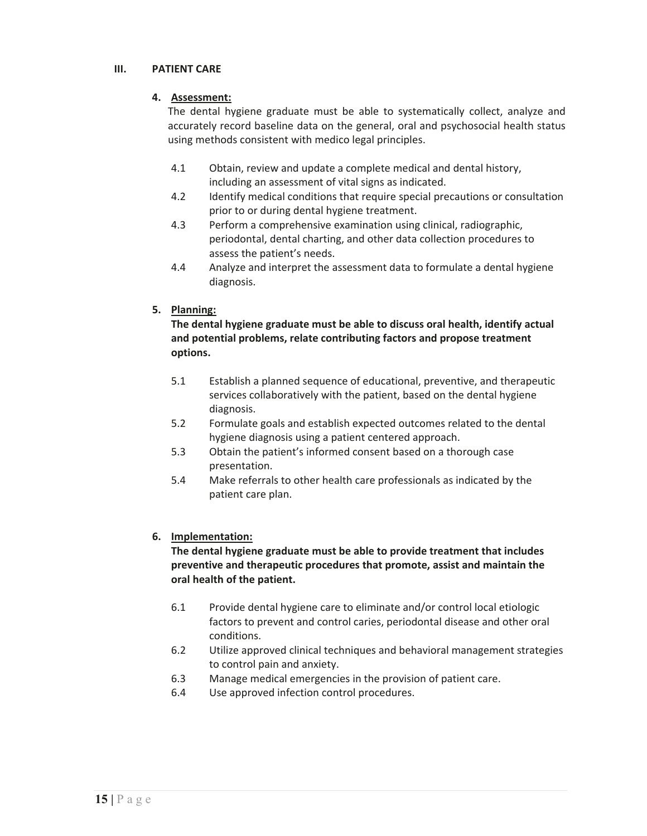### **III. PATIENT CARE**

#### **4. Assessment:**

The dental hygiene graduate must be able to systematically collect, analyze and accurately record baseline data on the general, oral and psychosocial health status using methods consistent with medico legal principles.

- 4.1 Obtain, review and update a complete medical and dental history, including an assessment of vital signs as indicated.
- 4.2 Identify medical conditions that require special precautions or consultation prior to or during dental hygiene treatment.
- 4.3 Perform a comprehensive examination using clinical, radiographic, periodontal, dental charting, and other data collection procedures to assess the patient's needs.
- 4.4 Analyze and interpret the assessment data to formulate a dental hygiene diagnosis.

### **5. Planning:**

### **The dental hygiene graduate must be able to discuss oral health, identify actual and potential problems, relate contributing factors and propose treatment options.**

- 5.1 Establish a planned sequence of educational, preventive, and therapeutic services collaboratively with the patient, based on the dental hygiene diagnosis.
- 5.2 Formulate goals and establish expected outcomes related to the dental hygiene diagnosis using a patient centered approach.
- 5.3 Obtain the patient's informed consent based on a thorough case presentation.
- 5.4 Make referrals to other health care professionals as indicated by the patient care plan.

### **6. Implementation:**

#### **The dental hygiene graduate must be able to provide treatment that includes preventive and therapeutic procedures that promote, assist and maintain the oral health of the patient.**

- 6.1 Provide dental hygiene care to eliminate and/or control local etiologic factors to prevent and control caries, periodontal disease and other oral conditions.
- 6.2 Utilize approved clinical techniques and behavioral management strategies to control pain and anxiety.
- 6.3 Manage medical emergencies in the provision of patient care.
- 6.4 Use approved infection control procedures.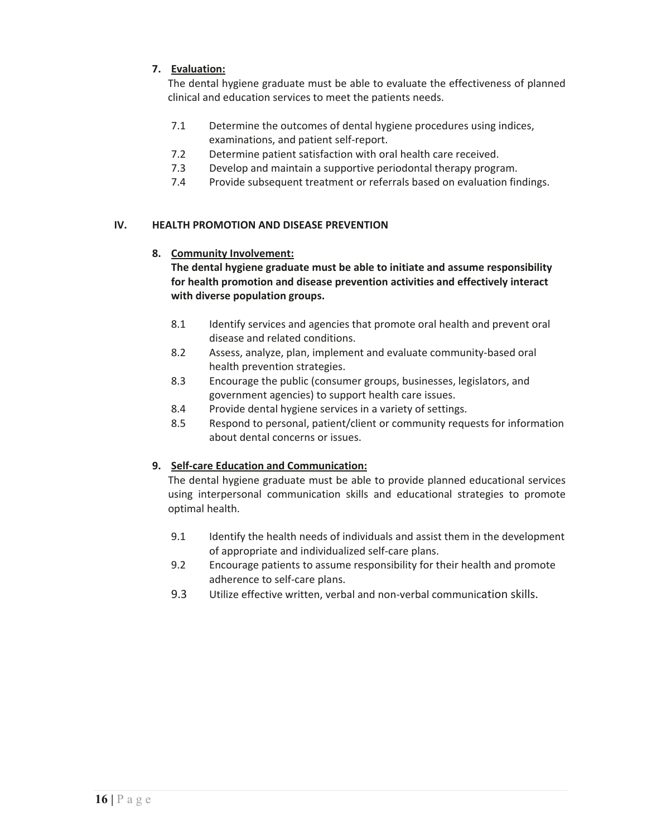## **7. Evaluation:**

The dental hygiene graduate must be able to evaluate the effectiveness of planned clinical and education services to meet the patients needs.

- 7.1 Determine the outcomes of dental hygiene procedures using indices, examinations, and patient self-report.
- 7.2 Determine patient satisfaction with oral health care received.
- 7.3 Develop and maintain a supportive periodontal therapy program.
- 7.4 Provide subsequent treatment or referrals based on evaluation findings.

### **IV. HEALTH PROMOTION AND DISEASE PREVENTION**

### **8. Community Involvement:**

**The dental hygiene graduate must be able to initiate and assume responsibility for health promotion and disease prevention activities and effectively interact with diverse population groups.**

- 8.1 Identify services and agencies that promote oral health and prevent oral disease and related conditions.
- 8.2 Assess, analyze, plan, implement and evaluate community-based oral health prevention strategies.
- 8.3 Encourage the public (consumer groups, businesses, legislators, and government agencies) to support health care issues.
- 8.4 Provide dental hygiene services in a variety of settings.
- 8.5 Respond to personal, patient/client or community requests for information about dental concerns or issues.

### **9. Self-care Education and Communication:**

The dental hygiene graduate must be able to provide planned educational services using interpersonal communication skills and educational strategies to promote optimal health.

- 9.1 Identify the health needs of individuals and assist them in the development of appropriate and individualized self-care plans.
- 9.2 Encourage patients to assume responsibility for their health and promote adherence to self-care plans.
- 9.3 Utilize effective written, verbal and non-verbal communication skills.